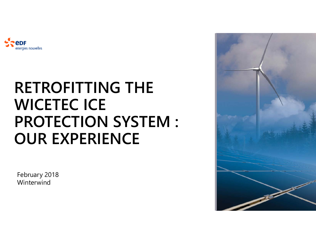

### **RETROFITTING THE WICETEC ICE PROTECTION SYSTEM : OUR EXPERIENCE**

February 2018 Winterwind

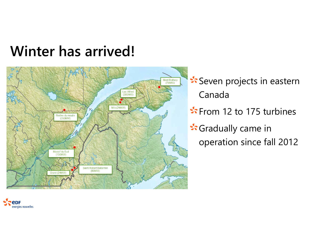### **Winter has arrived!**



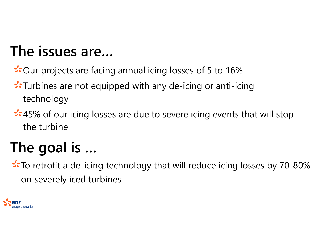### **The issues are…**

\*Our projects are facing annual icing losses of 5 to 16%

- Turbines are not equipped with any de-icing or anti-icing technology
- **3.45%** of our icing losses are due to severe icing events that will stop the turbine

# **The goal is …**

 $\therefore$  To retrofit a de-icing technology that will reduce icing losses by 70-80% on severely iced turbines

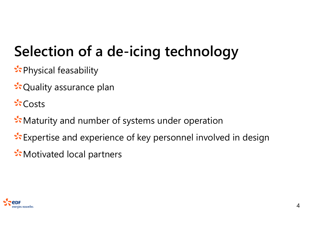# **Selection of a de-icing technology**

- **Ex** Physical feasability
- **रे** Quality assurance plan
- $\mathcal{L}$  Costs
- **W**: Maturity and number of systems under operation
- Expertise and experience of key personnel involved in design
- Motivated local partners

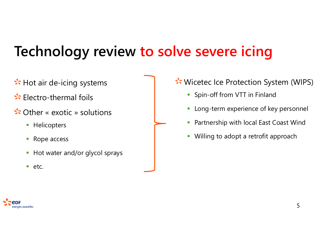### **Technology review to solve severe icing**

- $\sqrt{2}$ : Hot air de-icing systems
- Electro-thermal foils
- Other « exotic » solutions
	- **Helicopters**
	- I. Rope access
	- $\mathbb{R}^2$ Hot water and/or glycol sprays
	- etc.
- Wicetec Ice Protection System (WIPS)
	- **Spin-off from VTT in Finland**
	- $\overline{\phantom{a}}$ Long-term experience of key personnel
	- $\mathcal{C}$ Partnership with local East Coast Wind
	- $\mathcal{L}$ Willing to adopt a retrofit approach

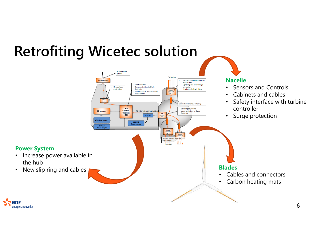

energies nouvelles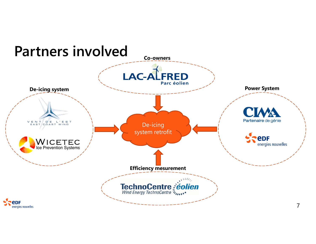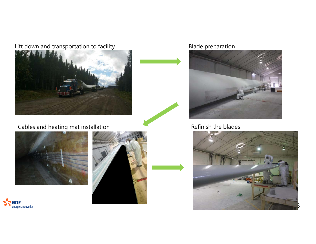#### Lift down and transportation to facility Theorem 2012 Model preparation



### Cables and heating mat installation **Cables and heating mat installation** Refinish the blades







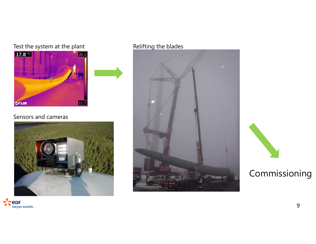### Test the system at the plant Relifting the blades



#### Sensors and cameras







### Commissioning

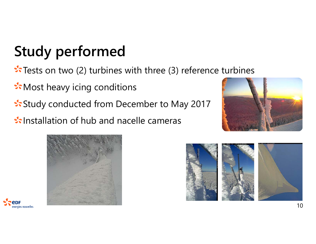# **Study performed**

 $\sqrt{2}$  Tests on two (2) turbines with three (3) reference turbines

**ी** Most heavy icing conditions

**Study conducted from December to May 2017** 

Installation of hub and nacelle cameras







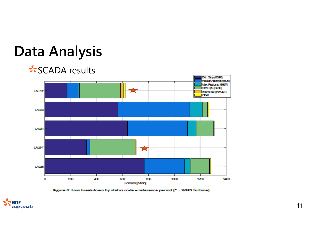### **Data Analysis**

### SCADA results







11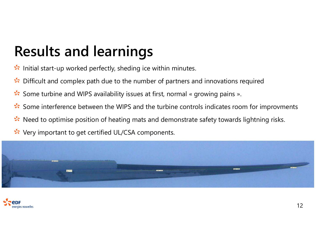## **Results and learnings**

- Initial start-up worked perfectly, sheding ice within minutes.
- Difficult and complex path due to the number of partners and innovations required St.
- Some turbine and WIPS availability issues at first, normal « growing pains ». St
- St. Some interference between the WIPS and the turbine controls indicates room for improvments
- Need to optimise position of heating mats and demonstrate safety towards lightning risks. St.
- Very important to get certified UL/CSA components.